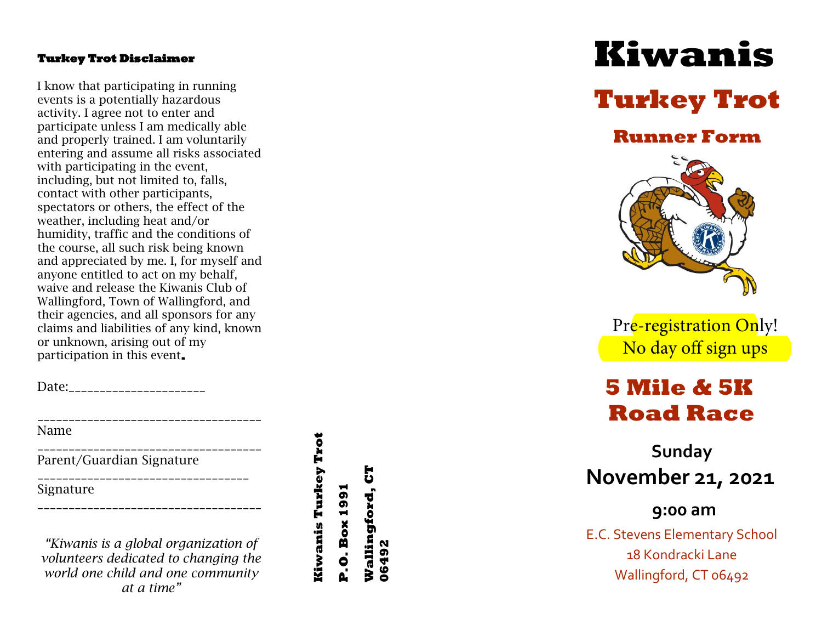#### **Turkey Trot Disclaimer**

I know that participating in running events is a potentially hazardous activity. I agree not to enter and participate unless I am medically able and properly trained. I am voluntarily entering and assume all risks associated with participating in the event, including, but not limited to, falls, contact with other participants, spectators or others, the effect of the weather, including heat and/or humidity, traffic and the conditions of the course, all such risk being known and appreciated by me. I, for myself and anyone entitled to act on my behalf, waive and release the Kiwanis Club of Wallingford, Town of Wallingford, and their agencies, and all sponsors for any claims and liabilities of any kind, known or unknown, arising out of my participation in this event **.** 

Date:

Name

\_\_\_\_\_\_\_\_\_\_\_\_\_\_\_\_\_\_\_\_\_\_\_\_\_\_\_\_\_\_\_\_\_\_\_\_ Parent/Guardian Signature

Signature

*"Kiwanis is a global organization of volunteers dedicated to changing the world one child and one community at a time"*

\_\_\_\_\_\_\_\_\_\_\_\_\_\_\_\_\_\_\_\_\_\_\_\_\_\_\_\_\_\_\_\_\_\_\_\_

\_\_\_\_\_\_\_\_\_\_\_\_\_\_\_\_\_\_\_\_\_\_\_\_\_\_\_\_\_\_\_\_\_\_

\_\_\_\_\_\_\_\_\_\_\_\_\_\_\_\_\_\_\_\_\_\_\_\_\_\_\_\_\_\_\_\_\_\_\_\_

**Kiwanis Turkey Trot P.O. Box 1991 P.O. Box 1991**

Kiwanis Turkey Trot

**Wallingford, CT** 

Wallingford,

 $\mathbf{5}$ 

**06492**

# **Kiwanis**

## **Turkey Trot**

### **Runner Form**



Pre-registration Only! No day off sign ups

### **5 Mile & 5K Road Race**

**Sunday November 21, 2021** 

**9:00 am** 

E.C. Stevens Elementary School 18 Kondracki Lane Wallingford, CT 06492